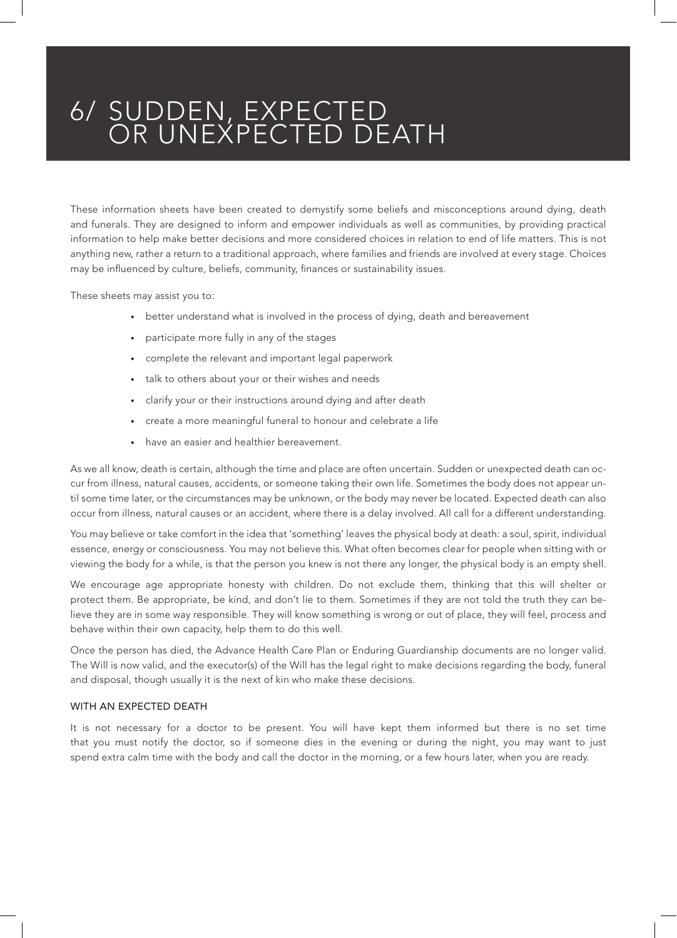## 6/ SUDDEN, EXPECTED OR UNEXPECTED DEATH

These information sheets have been created to demystify some beliefs and misconceptions around dying, death and funerals. They are designed to inform and empower individuals as well as communities, by providing practical information to help make better decisions and more considered choices in relation to end of life matters. This is not anything new, rather a return to a traditional approach, where families and friends are involved at every stage. Choices may be influenced by culture, beliefs, community, finances or sustainability issues.

These sheets may assist you to:

- better understand what is involved in the process of dying, death and bereavement
- participate more fully in any of the stages
- complete the relevant and important legal paperwork
- talk to others about your or their wishes and needs
- clarify your or their instructions around dying and after death
- create a more meaningful funeral to honour and celebrate a life
- have an easier and healthier bereavement.

As we all know, death is certain, although the time and place are often uncertain. Sudden or unexpected death can occur from illness, natural causes, accidents, or someone taking their own life. Sometimes the body does not appear until some time later, or the circumstances may be unknown, or the body may never be located. Expected death can also occur from illness, natural causes or an accident, where there is a delay involved. All call for a different understanding.

You may believe or take comfort in the idea that 'something' leaves the physical body at death: a soul, spirit, individual essence, energy or consciousness. You may not believe this. What often becomes clear for people when sitting with or viewing the body for a while, is that the person you knew is not there any longer, the physical body is an empty shell.

We encourage age appropriate honesty with children. Do not exclude them, thinking that this will shelter or protect them. Be appropriate, be kind, and don't lie to them. Sometimes if they are not told the truth they can believe they are in some way responsible. They will know something is wrong or out of place, they will feel, process and behave within their own capacity, help them to do this well.

Once the person has died, the Advance Health Care Plan or Enduring Guardianship documents are no longer valid. The Will is now valid, and the executor(s) of the Will has the legal right to make decisions regarding the body, funeral and disposal, though usually it is the next of kin who make these decisions.

#### WITH AN EXPECTED DEATH

It is not necessary for a doctor to be present. You will have kept them informed but there is no set time that you must notify the doctor, so if someone dies in the evening or during the night, you may want to just spend extra calm time with the body and call the doctor in the morning, or a few hours later, when you are ready.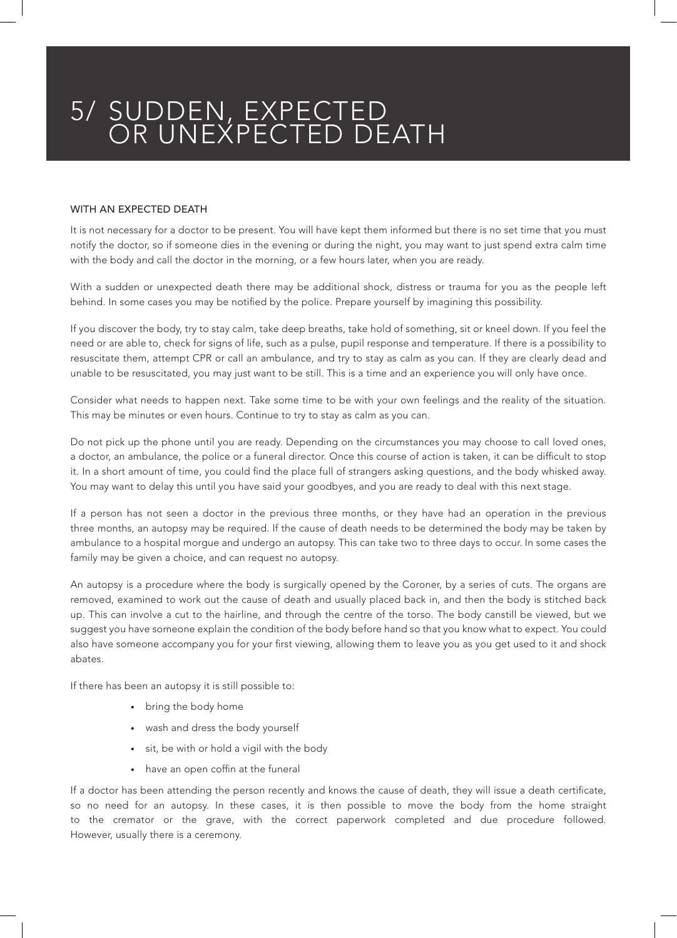## 5/ SUDDEN, EXPECTED OR UNEXPECTED DEATH

#### WITH AN EXPECTED DEATH

It is not necessary for a doctor to be present. You will have kept them informed but there is no set time that you must notify the doctor, so if someone dies in the evening or during the night, you may want to just spend extra calm time with the body and call the doctor in the morning, or a few hours later, when you are ready.

With a sudden or unexpected death there may be additional shock, distress or trauma for you as the people left behind. In some cases you may be notified by the police. Prepare yourself by imagining this possibility.

If you discover the body, try to stay calm, take deep breaths, take hold of something, sit or kneel down. If you feel the need or are able to, check for signs of life, such as a pulse, pupil response and temperature. If there is a possibility to resuscitate them, attempt CPR or call an ambulance, and try to stay as calm as you can. If they are clearly dead and unable to be resuscitated, you may just want to be still. This is a time and an experience you will only have once.

Consider what needs to happen next. Take some time to be with your own feelings and the reality of the situation. This may be minutes or even hours. Continue to try to stay as calm as you can.

Do not pick up the phone until you are ready. Depending on the circumstances you may choose to call loved ones, a doctor, an ambulance, the police or a funeral director. Once this course of action is taken, it can be difficult to stop it. In a short amount of time, you could find the place full of strangers asking questions, and the body whisked away. You may want to delay this until you have said your goodbyes, and you are ready to deal with this next stage.

If a person has not seen a doctor in the previous three months, or they have had an operation in the previous three months, an autopsy may be required. If the cause of death needs to be determined the body may be taken by ambulance to a hospital morgue and undergo an autopsy. This can take two to three days to occur. In some cases the family may be given a choice, and can request no autopsy.

An autopsy is a procedure where the body is surgically opened by the Coroner, by a series of cuts. The organs are removed, examined to work out the cause of death and usually placed back in, and then the body is stitched back up. This can involve a cut to the hairline, and through the centre of the torso. The body canstill be viewed, but we suggest you have someone explain the condition of the body before hand so that you know what to expect. You could also have someone accompany you for your first viewing, allowing them to leave you as you get used to it and shock abates.

If there has been an autopsy it is still possible to:

- bring the body home
- wash and dress the body yourself
- sit, be with or hold a vigil with the body
- have an open coffin at the funeral

If a doctor has been attending the person recently and knows the cause of death, they will issue a death certificate, so no need for an autopsy. In these cases, it is then possible to move the body from the home straight to the cremator or the grave, with the correct paperwork completed and due procedure followed. However, usually there is a ceremony.